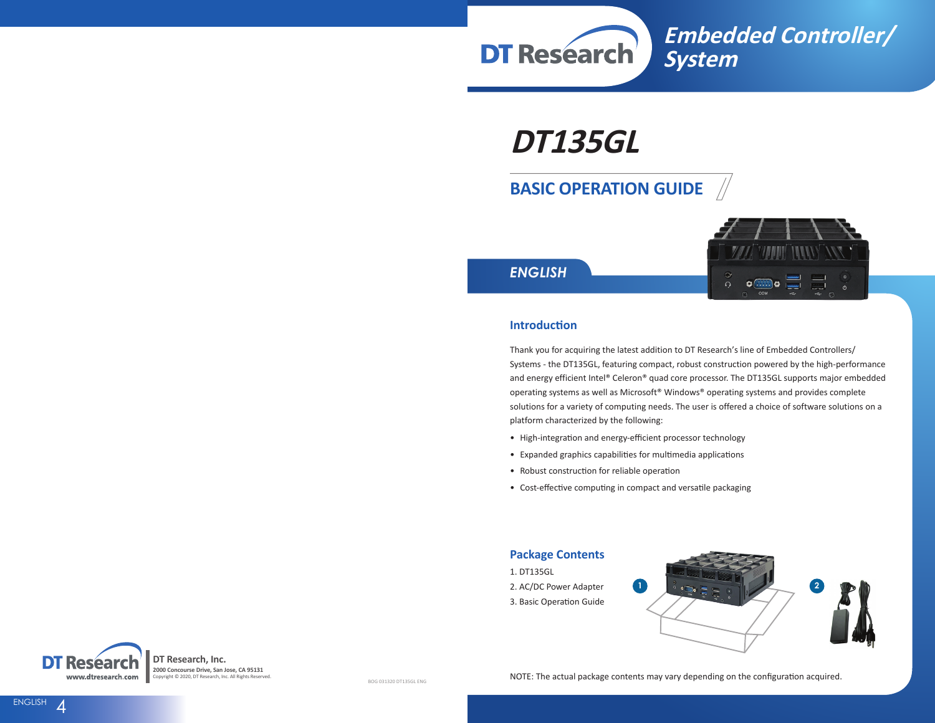

# **DT135GL**

# **BASIC OPERATION GUIDE**



*ENGLISH*

#### **Introduction**

Thank you for acquiring the latest addition to DT Research's line of Embedded Controllers/ Systems - the DT135GL, featuring compact, robust construction powered by the high-performance and energy efficient Intel® Celeron® quad core processor. The DT135GL supports major embedded operating systems as well as Microsoft® Windows® operating systems and provides complete solutions for a variety of computing needs. The user is offered a choice of software solutions on a platform characterized by the following:

- High-integration and energy-efficient processor technology
- Expanded graphics capabilities for multimedia applications
- Robust construction for reliable operation
- Cost-effective computing in compact and versatile packaging

#### **Package Contents**

- 1. DT135GL
- 2. AC/DC Power Adapter
- 3. Basic Operation Guide